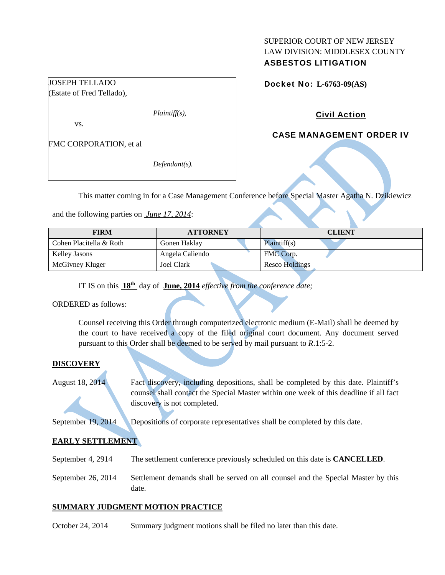## SUPERIOR COURT OF NEW JERSEY LAW DIVISION: MIDDLESEX COUNTY ASBESTOS LITIGATION

Docket No: **L-6763-09(AS)** 

## Civil Action

# CASE MANAGEMENT ORDER IV

JOSEPH TELLADO (Estate of Fred Tellado),

*Plaintiff(s),* 

vs.

FMC CORPORATION, et al

*Defendant(s).* 

This matter coming in for a Case Management Conference before Special Master Agatha N. Dzikiewicz

and the following parties on *June 17, 2014*:

| <b>FIRM</b>             | <b>ATTORNEY</b> | <b>CLIENT</b>  |
|-------------------------|-----------------|----------------|
| Cohen Placitella & Roth | Gonen Haklay    | Plaintiff(s)   |
| Kelley Jasons           | Angela Caliendo | FMC Corp.      |
| McGivney Kluger         | Joel Clark      | Resco Holdings |

IT IS on this **18th** day of **June, 2014** *effective from the conference date;*

ORDERED as follows:

Counsel receiving this Order through computerized electronic medium (E-Mail) shall be deemed by the court to have received a copy of the filed original court document. Any document served pursuant to this Order shall be deemed to be served by mail pursuant to *R*.1:5-2.

### **DISCOVERY**

August 18, 2014 Fact discovery, including depositions, shall be completed by this date. Plaintiff's counsel shall contact the Special Master within one week of this deadline if all fact discovery is not completed.

September 19, 2014 Depositions of corporate representatives shall be completed by this date.

# **EARLY SETTLEMENT**

September 4, 2914 The settlement conference previously scheduled on this date is **CANCELLED**.

September 26, 2014 Settlement demands shall be served on all counsel and the Special Master by this date.

### **SUMMARY JUDGMENT MOTION PRACTICE**

October 24, 2014 Summary judgment motions shall be filed no later than this date.